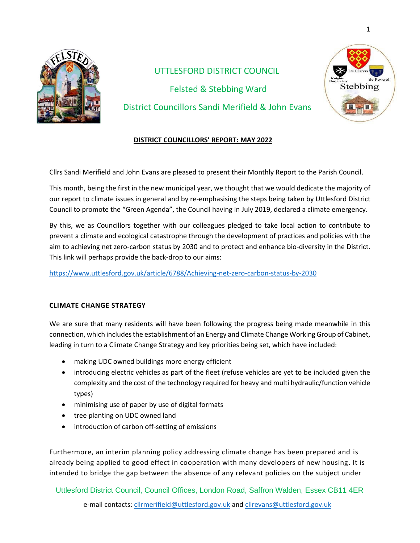

# UTTLESFORD DISTRICT COUNCIL Felsted & Stebbing Ward District Councillors Sandi Merifield & John Evans



# **DISTRICT COUNCILLORS' REPORT: MAY 2022**

Cllrs Sandi Merifield and John Evans are pleased to present their Monthly Report to the Parish Council.

This month, being the first in the new municipal year, we thought that we would dedicate the majority of our report to climate issues in general and by re-emphasising the steps being taken by Uttlesford District Council to promote the "Green Agenda", the Council having in July 2019, declared a climate emergency.

By this, we as Councillors together with our colleagues pledged to take local action to contribute to prevent a climate and ecological catastrophe through the development of practices and policies with the aim to achieving net zero-carbon status by 2030 and to protect and enhance bio-diversity in the District. This link will perhaps provide the back-drop to our aims:

<https://www.uttlesford.gov.uk/article/6788/Achieving-net-zero-carbon-status-by-2030>

# **CLIMATE CHANGE STRATEGY**

We are sure that many residents will have been following the progress being made meanwhile in this connection, which includes the establishment of an Energy and Climate Change Working Group of Cabinet, leading in turn to a Climate Change Strategy and key priorities being set, which have included:

- making UDC owned buildings more energy efficient
- introducing electric vehicles as part of the fleet (refuse vehicles are yet to be included given the complexity and the cost of the technology required for heavy and multi hydraulic/function vehicle types)
- minimising use of paper by use of digital formats
- tree planting on UDC owned land
- introduction of carbon off-setting of emissions

Furthermore, an interim planning policy addressing climate change has been prepared and is already being applied to good effect in cooperation with many developers of new housing. It is intended to bridge the gap between the absence of any relevant policies on the subject under

 Uttlesford District Council, Council Offices, London Road, Saffron Walden, Essex CB11 4ER e-mail contacts[: cllrmerifield@uttlesford.gov.uk](mailto:cllrmerifield@uttlesford.gov.uk) an[d cllrevans@uttlesford.gov.uk](mailto:cllrevans@uttlesford.gov.uk)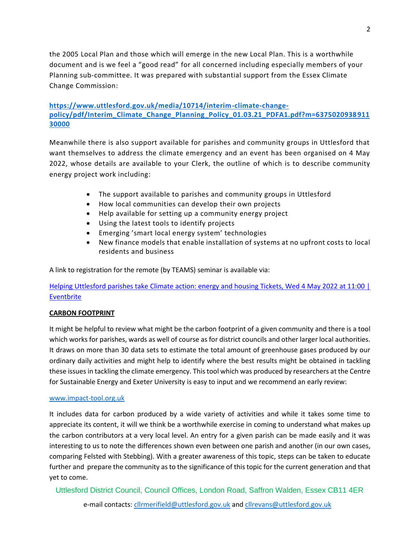the 2005 Local Plan and those which will emerge in the new Local Plan. This is a worthwhile document and is we feel a "good read" for all concerned including especially members of your Planning sub-committee. It was prepared with substantial support from the Essex Climate Change Commission:

# **[https://www.uttlesford.gov.uk/media/10714/interim-climate-change](https://www.uttlesford.gov.uk/media/10714/interim-climate-change-policy/pdf/Interim_Climate_Change_Planning_Policy_01.03.21_PDFA1.pdf?m=637502093891130000)[policy/pdf/Interim\\_Climate\\_Change\\_Planning\\_Policy\\_01.03.21\\_PDFA1.pdf?m=6375020938911](https://www.uttlesford.gov.uk/media/10714/interim-climate-change-policy/pdf/Interim_Climate_Change_Planning_Policy_01.03.21_PDFA1.pdf?m=637502093891130000) [30000](https://www.uttlesford.gov.uk/media/10714/interim-climate-change-policy/pdf/Interim_Climate_Change_Planning_Policy_01.03.21_PDFA1.pdf?m=637502093891130000)**

Meanwhile there is also support available for parishes and community groups in Uttlesford that want themselves to address the climate emergency and an event has been organised on 4 May 2022, whose details are available to your Clerk, the outline of which is to describe community energy project work including:

- The support available to parishes and community groups in Uttlesford
- How local communities can develop their own projects
- Help available for setting up a community energy project
- Using the latest tools to identify projects
- Emerging 'smart local energy system' technologies
- New finance models that enable installation of systems at no upfront costs to local residents and business

A link to registration for the remote (by TEAMS) seminar is available via:

[Helping Uttlesford parishes take Climate action: energy and housing Tickets, Wed 4 May 2022 at 11:00 |](https://www.eventbrite.co.uk/e/helping-uttlesford-parishes-take-climate-action-energy-and-housing-tickets-310333705467?utm-campaign=social%2Cemail&utm-content=attendeeshare&utm-medium=discovery&utm-source=strongmail&utm-term=listing)  [Eventbrite](https://www.eventbrite.co.uk/e/helping-uttlesford-parishes-take-climate-action-energy-and-housing-tickets-310333705467?utm-campaign=social%2Cemail&utm-content=attendeeshare&utm-medium=discovery&utm-source=strongmail&utm-term=listing)

# **CARBON FOOTPRINT**

It might be helpful to review what might be the carbon footprint of a given community and there is a tool which works for parishes, wards as well of course as for district councils and other larger local authorities. It draws on more than 30 data sets to estimate the total amount of greenhouse gases produced by our ordinary daily activities and might help to identify where the best results might be obtained in tackling these issues in tackling the climate emergency. This tool which was produced by researchers at the Centre for Sustainable Energy and Exeter University is easy to input and we recommend an early review:

## [www.impact-tool.org.uk](http://www.impact-tool.org.uk/)

It includes data for carbon produced by a wide variety of activities and while it takes some time to appreciate its content, it will we think be a worthwhile exercise in coming to understand what makes up the carbon contributors at a very local level. An entry for a given parish can be made easily and it was interesting to us to note the differences shown even between one parish and another (in our own cases, comparing Felsted with Stebbing). With a greater awareness of this topic, steps can be taken to educate further and prepare the community as to the significance of this topic for the current generation and that yet to come.

Uttlesford District Council, Council Offices, London Road, Saffron Walden, Essex CB11 4ER

e-mail contacts[: cllrmerifield@uttlesford.gov.uk](mailto:cllrmerifield@uttlesford.gov.uk) an[d cllrevans@uttlesford.gov.uk](mailto:cllrevans@uttlesford.gov.uk)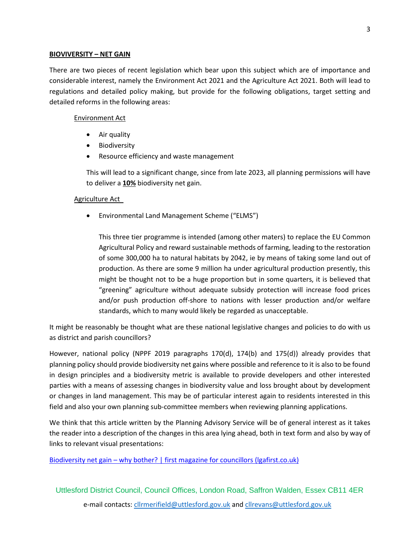#### **BIOVIVERSITY – NET GAIN**

There are two pieces of recent legislation which bear upon this subject which are of importance and considerable interest, namely the Environment Act 2021 and the Agriculture Act 2021. Both will lead to regulations and detailed policy making, but provide for the following obligations, target setting and detailed reforms in the following areas:

## Environment Act

- Air quality
- Biodiversity
- Resource efficiency and waste management

This will lead to a significant change, since from late 2023, all planning permissions will have to deliver a **10%** biodiversity net gain.

## Agriculture Act

• Environmental Land Management Scheme ("ELMS")

This three tier programme is intended (among other maters) to replace the EU Common Agricultural Policy and reward sustainable methods of farming, leading to the restoration of some 300,000 ha to natural habitats by 2042, ie by means of taking some land out of production. As there are some 9 million ha under agricultural production presently, this might be thought not to be a huge proportion but in some quarters, it is believed that "greening" agriculture without adequate subsidy protection will increase food prices and/or push production off-shore to nations with lesser production and/or welfare standards, which to many would likely be regarded as unacceptable.

It might be reasonably be thought what are these national legislative changes and policies to do with us as district and parish councillors?

However, national policy (NPPF 2019 paragraphs 170(d), 174(b) and 175(d)) already provides that planning policy should provide biodiversity net gains where possible and reference to it is also to be found in design principles and a biodiversity metric is available to provide developers and other interested parties with a means of assessing changes in biodiversity value and loss brought about by development or changes in land management. This may be of particular interest again to residents interested in this field and also your own planning sub-committee members when reviewing planning applications.

We think that this article written by the Planning Advisory Service will be of general interest as it takes the reader into a description of the changes in this area lying ahead, both in text form and also by way of links to relevant visual presentations:

Biodiversity net gain – [why bother? | first magazine for councillors \(lgafirst.co.uk\)](https://www.lgafirst.co.uk/features/biodiversity-net-gain-why-bother/)

 Uttlesford District Council, Council Offices, London Road, Saffron Walden, Essex CB11 4ER e-mail contacts[: cllrmerifield@uttlesford.gov.uk](mailto:cllrmerifield@uttlesford.gov.uk) an[d cllrevans@uttlesford.gov.uk](mailto:cllrevans@uttlesford.gov.uk)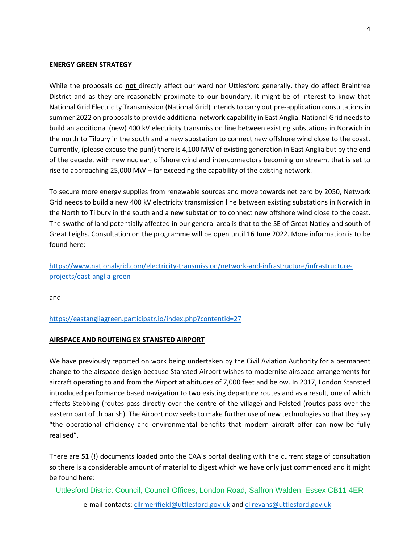#### **ENERGY GREEN STRATEGY**

While the proposals do **not** directly affect our ward nor Uttlesford generally, they do affect Braintree District and as they are reasonably proximate to our boundary, it might be of interest to know that National Grid Electricity Transmission (National Grid) intends to carry out pre-application consultations in summer 2022 on proposals to provide additional network capability in East Anglia. National Grid needs to build an additional (new) 400 kV electricity transmission line between existing substations in Norwich in the north to Tilbury in the south and a new substation to connect new offshore wind close to the coast. Currently, (please excuse the pun!) there is 4,100 MW of existing generation in East Anglia but by the end of the decade, with new nuclear, offshore wind and interconnectors becoming on stream, that is set to rise to approaching 25,000 MW – far exceeding the capability of the existing network.

To secure more energy supplies from renewable sources and move towards net zero by 2050, Network Grid needs to build a new 400 kV electricity transmission line between existing substations in Norwich in the North to Tilbury in the south and a new substation to connect new offshore wind close to the coast. The swathe of land potentially affected in our general area is that to the SE of Great Notley and south of Great Leighs. Consultation on the programme will be open until 16 June 2022. More information is to be found here:

[https://www.nationalgrid.com/electricity-transmission/network-and-infrastructure/infrastructure](https://www.nationalgrid.com/electricity-transmission/network-and-infrastructure/infrastructure-projects/east-anglia-green)[projects/east-anglia-green](https://www.nationalgrid.com/electricity-transmission/network-and-infrastructure/infrastructure-projects/east-anglia-green)

and

## <https://eastangliagreen.participatr.io/index.php?contentid=27>

#### **AIRSPACE AND ROUTEING EX STANSTED AIRPORT**

We have previously reported on work being undertaken by the Civil Aviation Authority for a permanent change to the airspace design because Stansted Airport wishes to modernise airspace arrangements for aircraft operating to and from the Airport at altitudes of 7,000 feet and below. In 2017, London Stansted introduced performance based navigation to two existing departure routes and as a result, one of which affects Stebbing (routes pass directly over the centre of the village) and Felsted (routes pass over the eastern part of th parish). The Airport now seeks to make further use of new technologies so that they say "the operational efficiency and environmental benefits that modern aircraft offer can now be fully realised".

There are **51** (!) documents loaded onto the CAA's portal dealing with the current stage of consultation so there is a considerable amount of material to digest which we have only just commenced and it might be found here:

Uttlesford District Council, Council Offices, London Road, Saffron Walden, Essex CB11 4ER

e-mail contacts[: cllrmerifield@uttlesford.gov.uk](mailto:cllrmerifield@uttlesford.gov.uk) an[d cllrevans@uttlesford.gov.uk](mailto:cllrevans@uttlesford.gov.uk)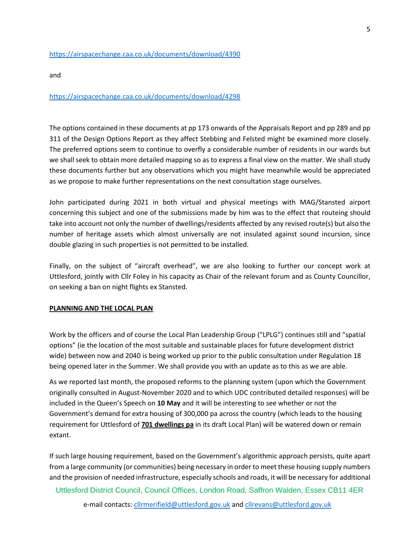#### <https://airspacechange.caa.co.uk/documents/download/4390>

and

#### <https://airspacechange.caa.co.uk/documents/download/4298>

The options contained in these documents at pp 173 onwards of the Appraisals Report and pp 289 and pp 311 of the Design Options Report as they affect Stebbing and Felsted might be examined more closely. The preferred options seem to continue to overfly a considerable number of residents in our wards but we shall seek to obtain more detailed mapping so as to express a final view on the matter. We shall study these documents further but any observations which you might have meanwhile would be appreciated as we propose to make further representations on the next consultation stage ourselves.

John participated during 2021 in both virtual and physical meetings with MAG/Stansted airport concerning this subject and one of the submissions made by him was to the effect that routeing should take into account not only the number of dwellings/residents affected by any revised route(s) but also the number of heritage assets which almost universally are not insulated against sound incursion, since double glazing in such properties is not permitted to be installed.

Finally, on the subject of "aircraft overhead", we are also looking to further our concept work at Uttlesford, jointly with Cllr Foley in his capacity as Chair of the relevant forum and as County Councillor, on seeking a ban on night flights ex Stansted.

#### **PLANNING AND THE LOCAL PLAN**

Work by the officers and of course the Local Plan Leadership Group ("LPLG") continues still and "spatial options" (ie the location of the most suitable and sustainable places for future development district wide) between now and 2040 is being worked up prior to the public consultation under Regulation 18 being opened later in the Summer. We shall provide you with an update as to this as we are able.

As we reported last month, the proposed reforms to the planning system (upon which the Government originally consulted in August-November 2020 and to which UDC contributed detailed responses) will be included in the Queen's Speech on **10 May** and it will be interesting to see whether or not the Government's demand for extra housing of 300,000 pa across the country (which leads to the housing requirement for Uttlesford of **701 dwellings pa** in its draft Local Plan) will be watered down or remain extant.

If such large housing requirement, based on the Government's algorithmic approach persists, quite apart from a large community (or communities) being necessary in order to meet these housing supply numbers and the provision of needed infrastructure, especially schools and roads, it will be necessary for additional

Uttlesford District Council, Council Offices, London Road, Saffron Walden, Essex CB11 4ER

e-mail contacts[: cllrmerifield@uttlesford.gov.uk](mailto:cllrmerifield@uttlesford.gov.uk) an[d cllrevans@uttlesford.gov.uk](mailto:cllrevans@uttlesford.gov.uk)